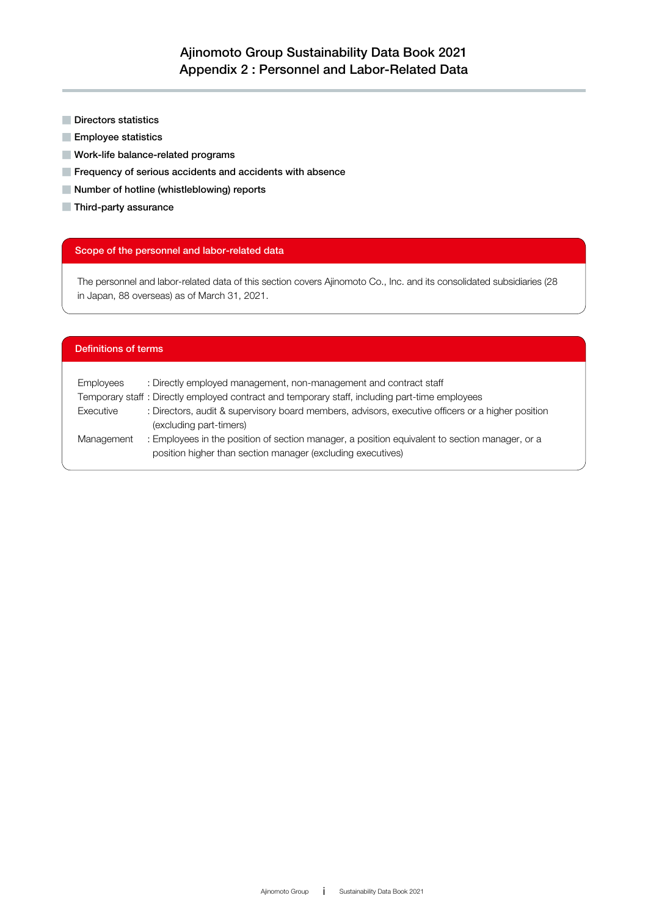- Directors statistics
- Employee statistics
- Work-life balance-related programs
- Frequency of serious accidents and accidents with absence
- Number of hotline (whistleblowing) reports
- Third-party assurance

### Scope of the personnel and labor-related data

The personnel and labor-related data of this section covers Ajinomoto Co., Inc. and its consolidated subsidiaries (28 in Japan, 88 overseas) as of March 31, 2021.

### Definitions of terms

| Employees  | : Directly employed management, non-management and contract staff                                                                                             |
|------------|---------------------------------------------------------------------------------------------------------------------------------------------------------------|
|            | Temporary staff : Directly employed contract and temporary staff, including part-time employees                                                               |
| Executive  | : Directors, audit & supervisory board members, advisors, executive officers or a higher position                                                             |
|            | (excluding part-timers)                                                                                                                                       |
| Management | : Employees in the position of section manager, a position equivalent to section manager, or a<br>position higher than section manager (excluding executives) |
|            |                                                                                                                                                               |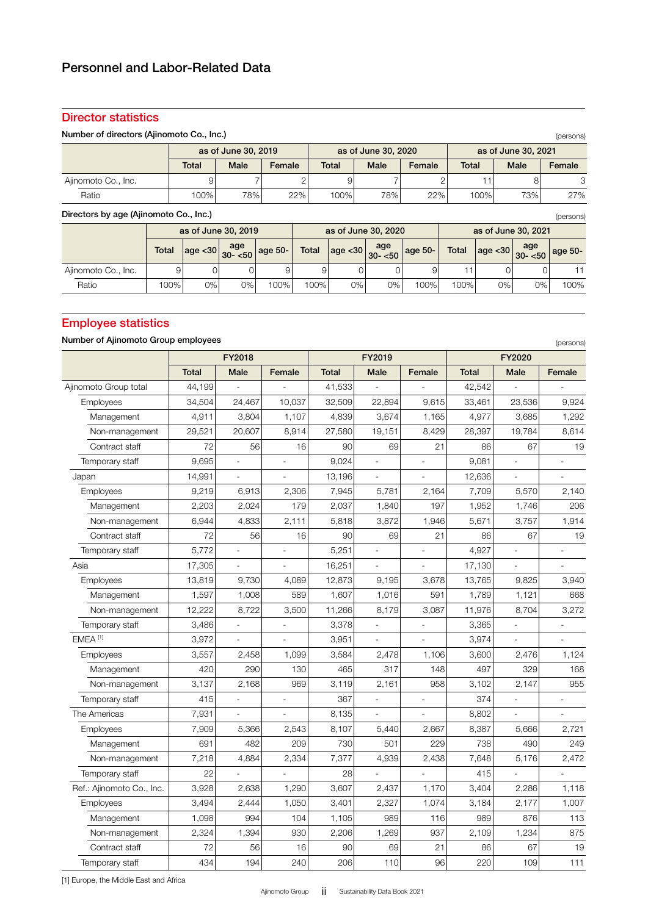## Director statistics

| Number of directors (Ajinomoto Co., Inc.)<br>(persons) |                                                     |                     |                     |                  |                |              |                     |             |              |                     |                     |         |
|--------------------------------------------------------|-----------------------------------------------------|---------------------|---------------------|------------------|----------------|--------------|---------------------|-------------|--------------|---------------------|---------------------|---------|
|                                                        |                                                     | as of June 30, 2019 |                     |                  |                |              | as of June 30, 2020 |             |              |                     | as of June 30, 2021 |         |
|                                                        |                                                     | <b>Total</b>        | Male                | Female           |                | <b>Total</b> | Male                | Female      | <b>Total</b> |                     | Male                | Female  |
| Ajinomoto Co., Inc.                                    |                                                     | 9                   |                     |                  | $\overline{2}$ | 9            |                     |             | 2            | 11                  | 8                   | 3       |
| Ratio                                                  |                                                     | 100%                | 78%                 |                  | 22%            | 100%         | 78%                 | 22%         |              | 100%                | 73%                 | 27%     |
|                                                        | Directors by age (Ajinomoto Co., Inc.)<br>(persons) |                     |                     |                  |                |              |                     |             |              |                     |                     |         |
|                                                        |                                                     |                     | as of June 30, 2019 |                  |                |              | as of June 30, 2020 |             |              | as of June 30, 2021 |                     |         |
|                                                        | <b>Total</b>                                        | age < 30            | age<br>$30 - 50$    | $^\circ$ age 50- | <b>Total</b>   | age  < 30    | age<br>$30 - 50$    | $q$ age 50- | <b>Total</b> | age  < 30           | age<br>$30 - 50$    | age 50- |
| Ajinomoto Co., Inc.                                    | 9                                                   | 0'                  | 0                   | 9                | 9              |              | 0                   | 9           | 11           | 0                   |                     |         |
| Ratio                                                  | 100%                                                | 0%                  | 0%                  | 100%             | 100%           | $0\%$        | 0%                  | 100%        | 100%         | 0%                  | 0%                  | 100%    |

# Employee statistics

## Number of Ajinomoto Group employees

| Number of Ajinomoto Group employees |              |                          |                          |              |                          |                |              |                          | (persons)      |
|-------------------------------------|--------------|--------------------------|--------------------------|--------------|--------------------------|----------------|--------------|--------------------------|----------------|
|                                     |              | FY2018                   |                          |              | FY2019                   |                |              | FY2020                   |                |
|                                     | <b>Total</b> | <b>Male</b>              | Female                   | <b>Total</b> | Male                     | Female         | <b>Total</b> | Male                     | Female         |
| Ajinomoto Group total               | 44,199       |                          |                          | 41,533       |                          |                | 42,542       |                          |                |
| Employees                           | 34,504       | 24,467                   | 10,037                   | 32,509       | 22,894                   | 9,615          | 33,461       | 23,536                   | 9,924          |
| Management                          | 4,911        | 3,804                    | 1,107                    | 4,839        | 3,674                    | 1,165          | 4,977        | 3,685                    | 1,292          |
| Non-management                      | 29,521       | 20,607                   | 8,914                    | 27,580       | 19,151                   | 8,429          | 28,397       | 19,784                   | 8,614          |
| Contract staff                      | 72           | 56                       | 16                       | 90           | 69                       | 21             | 86           | 67                       | 19             |
| Temporary staff                     | 9,695        | $\overline{a}$           | $\overline{\phantom{a}}$ | 9,024        | $\overline{\phantom{a}}$ | $\frac{1}{2}$  | 9,081        | $\overline{\phantom{a}}$ |                |
| Japan                               | 14,991       | L.                       | $\overline{a}$           | 13,196       | $\overline{a}$           |                | 12,636       | $\overline{a}$           |                |
| Employees                           | 9,219        | 6,913                    | 2,306                    | 7,945        | 5,781                    | 2,164          | 7,709        | 5,570                    | 2,140          |
| Management                          | 2,203        | 2,024                    | 179                      | 2,037        | 1,840                    | 197            | 1,952        | 1,746                    | 206            |
| Non-management                      | 6,944        | 4,833                    | 2,111                    | 5,818        | 3,872                    | 1,946          | 5,671        | 3,757                    | 1,914          |
| Contract staff                      | 72           | 56                       | 16                       | 90           | 69                       | 21             | 86           | 67                       | 19             |
| Temporary staff                     | 5,772        | $\overline{\phantom{a}}$ | $\overline{a}$           | 5,251        | $\frac{1}{2}$            | L,             | 4,927        | $\overline{a}$           | Ĭ.             |
| Asia                                | 17,305       |                          | $\overline{\phantom{a}}$ | 16,251       | $\overline{\phantom{a}}$ | $\overline{a}$ | 17,130       | $\overline{\phantom{a}}$ | ÷,             |
| Employees                           | 13,819       | 9,730                    | 4,089                    | 12,873       | 9,195                    | 3,678          | 13,765       | 9,825                    | 3,940          |
| Management                          | 1,597        | 1,008                    | 589                      | 1,607        | 1,016                    | 591            | 1,789        | 1,121                    | 668            |
| Non-management                      | 12,222       | 8,722                    | 3,500                    | 11,266       | 8,179                    | 3,087          | 11,976       | 8,704                    | 3,272          |
| Temporary staff                     | 3,486        | ÷,                       | $\overline{a}$           | 3,378        | $\overline{\phantom{a}}$ | L,             | 3,365        | $\frac{1}{2}$            |                |
| EMEA <sup>[1]</sup>                 | 3,972        | $\overline{\phantom{a}}$ | $\overline{\phantom{a}}$ | 3,951        | $\overline{\phantom{a}}$ | L.             | 3,974        | $\overline{\phantom{a}}$ | ÷.             |
| Employees                           | 3,557        | 2,458                    | 1,099                    | 3,584        | 2,478                    | 1,106          | 3,600        | 2,476                    | 1,124          |
| Management                          | 420          | 290                      | 130                      | 465          | 317                      | 148            | 497          | 329                      | 168            |
| Non-management                      | 3,137        | 2,168                    | 969                      | 3,119        | 2,161                    | 958            | 3,102        | 2,147                    | 955            |
| Temporary staff                     | 415          |                          |                          | 367          |                          | L,             | 374          |                          |                |
| The Americas                        | 7,931        |                          |                          | 8,135        |                          |                | 8,802        |                          |                |
| Employees                           | 7,909        | 5,366                    | 2,543                    | 8,107        | 5,440                    | 2,667          | 8,387        | 5,666                    | 2,721          |
| Management                          | 691          | 482                      | 209                      | 730          | 501                      | 229            | 738          | 490                      | 249            |
| Non-management                      | 7,218        | 4,884                    | 2,334                    | 7,377        | 4,939                    | 2,438          | 7,648        | 5,176                    | 2,472          |
| Temporary staff                     | 22           |                          |                          | 28           |                          | $\overline{a}$ | 415          | $\blacksquare$           | $\overline{a}$ |
| Ref.: Ajinomoto Co., Inc.           | 3,928        | 2,638                    | 1,290                    | 3,607        | 2,437                    | 1,170          | 3,404        | 2,286                    | 1,118          |
| Employees                           | 3,494        | 2,444                    | 1,050                    | 3,401        | 2,327                    | 1,074          | 3,184        | 2,177                    | 1,007          |
| Management                          | 1,098        | 994                      | 104                      | 1,105        | 989                      | 116            | 989          | 876                      | 113            |
| Non-management                      | 2,324        | 1,394                    | 930                      | 2,206        | 1,269                    | 937            | 2,109        | 1,234                    | 875            |
| Contract staff                      | 72           | 56                       | 16                       | 90           | 69                       | 21             | 86           | 67                       | 19             |
| Temporary staff                     | 434          | 194                      | 240                      | 206          | 110                      | 96             | 220          | 109                      | 111            |

[1] Europe, the Middle East and Africa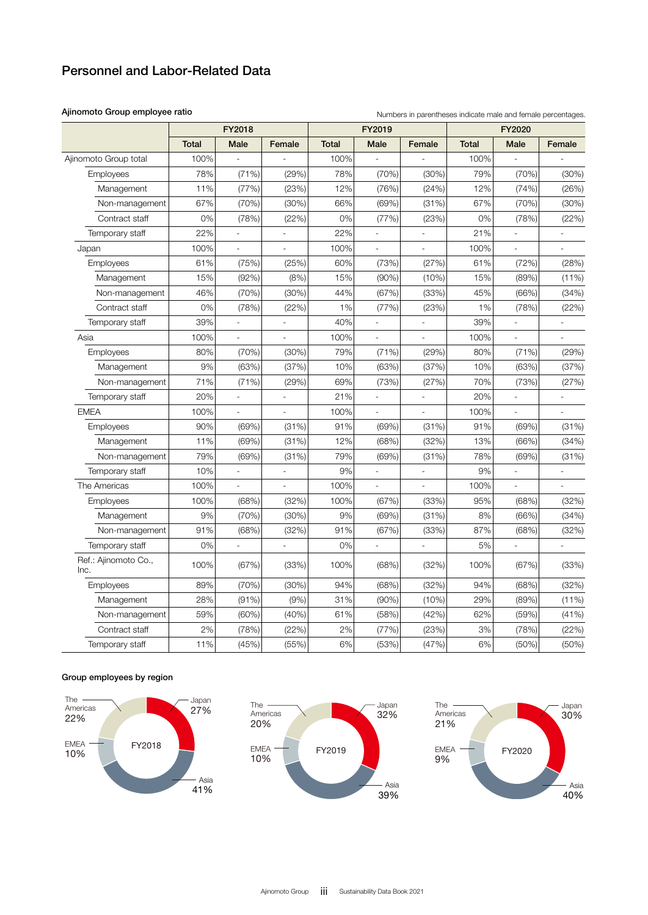### Ajinomoto Group employee ratio

| Numbers in parentheses indicate male and female percentages. |  |  |
|--------------------------------------------------------------|--|--|
|--------------------------------------------------------------|--|--|

|                              | FY2018       |                          |                          |              | FY2019         |                          | FY2020       |                          |          |  |
|------------------------------|--------------|--------------------------|--------------------------|--------------|----------------|--------------------------|--------------|--------------------------|----------|--|
|                              | <b>Total</b> | Male                     | Female                   | <b>Total</b> | Male           | Female                   | <b>Total</b> | Male                     | Female   |  |
| Ajinomoto Group total        | 100%         |                          |                          | 100%         |                |                          | 100%         |                          |          |  |
| Employees                    | 78%          | (71%)                    | (29%)                    | 78%          | (70%)          | (30%)                    | 79%          | (70%)                    | (30%)    |  |
| Management                   | 11%          | (77%)                    | (23%)                    | 12%          | (76%)          | (24%)                    | 12%          | (74%)                    | (26%)    |  |
| Non-management               | 67%          | (70%)                    | (30%)                    | 66%          | (69%)          | (31%)                    | 67%          | (70%)                    | (30%)    |  |
| Contract staff               | 0%           | (78%)                    | (22%)                    | 0%           | (77%)          | (23%)                    | 0%           | (78%)                    | (22%)    |  |
| Temporary staff              | 22%          |                          |                          | 22%          |                | ÷,                       | 21%          |                          |          |  |
| Japan                        | 100%         | $\frac{1}{2}$            |                          | 100%         | $\overline{a}$ | $\overline{\phantom{0}}$ | 100%         | $\overline{a}$           |          |  |
| Employees                    | 61%          | (75%)                    | (25%)                    | 60%          | (73%)          | (27%)                    | 61%          | (72%)                    | (28%)    |  |
| Management                   | 15%          | (92%)                    | (8%)                     | 15%          | (90%)          | (10%)                    | 15%          | (89%)                    | $(11\%)$ |  |
| Non-management               | 46%          | (70%)                    | (30%)                    | 44%          | (67%)          | (33%)                    | 45%          | (66%)                    | (34%)    |  |
| Contract staff               | 0%           | (78%)                    | (22%)                    | 1%           | (77%)          | (23%)                    | 1%           | (78%)                    | (22%)    |  |
| Temporary staff              | 39%          |                          | $\blacksquare$           | 40%          | $\overline{a}$ | $\overline{a}$           | 39%          | $\overline{a}$           |          |  |
| Asia                         | 100%         | $\overline{\phantom{a}}$ | $\overline{\phantom{a}}$ | 100%         | $\frac{1}{2}$  | $\overline{\phantom{a}}$ | 100%         | $\overline{\phantom{a}}$ | l,       |  |
| Employees                    | 80%          | (70%)                    | (30%)                    | 79%          | (71%)          | (29%)                    | 80%          | (71%)                    | (29%)    |  |
| Management                   | 9%           | (63%)                    | (37%)                    | 10%          | (63%)          | (37%)                    | 10%          | (63%)                    | (37%)    |  |
| Non-management               | 71%          | (71%)                    | (29%)                    | 69%          | (73%)          | (27%)                    | 70%          | (73%)                    | (27%)    |  |
| Temporary staff              | 20%          |                          |                          | 21%          |                | $\overline{a}$           | 20%          |                          |          |  |
| <b>EMEA</b>                  | 100%         | $\overline{a}$           |                          | 100%         |                | $\frac{1}{2}$            | 100%         |                          |          |  |
| Employees                    | 90%          | (69%)                    | (31%)                    | 91%          | (69%)          | (31%)                    | 91%          | (69%)                    | (31%)    |  |
| Management                   | 11%          | (69%)                    | (31%)                    | 12%          | (68%)          | (32%)                    | 13%          | (66%)                    | (34%)    |  |
| Non-management               | 79%          | (69%)                    | (31%)                    | 79%          | (69%)          | (31%)                    | 78%          | (69%)                    | (31%)    |  |
| Temporary staff              | 10%          |                          |                          | 9%           |                |                          | 9%           |                          |          |  |
| The Americas                 | 100%         | $\blacksquare$           | $\Box$                   | 100%         | $\overline{a}$ | $\frac{1}{2}$            | 100%         | $\blacksquare$           | L,       |  |
| Employees                    | 100%         | (68%)                    | (32%)                    | 100%         | (67%)          | (33%)                    | 95%          | (68%)                    | (32%)    |  |
| Management                   | 9%           | (70%)                    | (30%)                    | 9%           | (69%)          | (31%)                    | 8%           | (66%)                    | (34%)    |  |
| Non-management               | 91%          | (68%)                    | (32%)                    | 91%          | (67%)          | (33%)                    | 87%          | (68%)                    | (32%)    |  |
| Temporary staff              | 0%           |                          |                          | 0%           |                |                          | 5%           |                          |          |  |
| Ref.: Ajinomoto Co.,<br>Inc. | 100%         | (67%)                    | (33%)                    | 100%         | (68%)          | (32%)                    | 100%         | (67%)                    | (33%)    |  |
| Employees                    | 89%          | (70%)                    | (30%)                    | 94%          | (68%)          | (32%)                    | 94%          | (68%)                    | (32%)    |  |
| Management                   | 28%          | (91%)                    | (9% )                    | 31%          | (90%)          | (10%)                    | 29%          | (89%)                    | (11%)    |  |
| Non-management               | 59%          | (60%)                    | (40%)                    | 61%          | (58%)          | (42%)                    | 62%          | (59%)                    | (41%)    |  |
| Contract staff               | 2%           | (78%)                    | (22%)                    | 2%           | (77%)          | (23%)                    | 3%           | (78%)                    | (22%)    |  |
| Temporary staff              | 11%          | (45%)                    | (55%)                    | 6%           | (53%)          | (47%)                    | 6%           | (50%)                    | (50%)    |  |

### Group employees by region





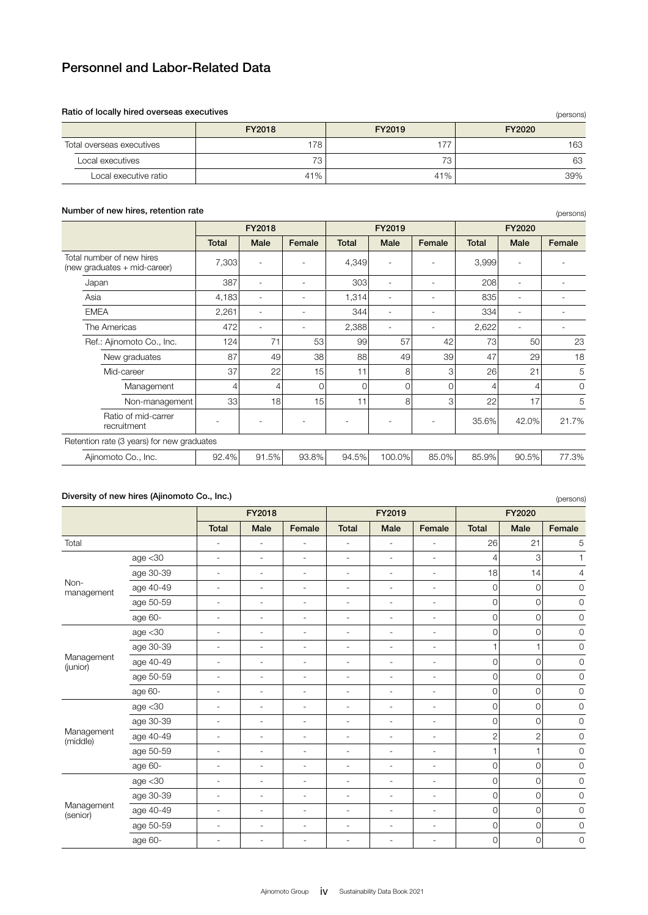### Ratio of locally hired overseas executives

| Ratio of locally hired overseas executives<br>(persons) |                  |        |        |  |  |  |  |  |  |
|---------------------------------------------------------|------------------|--------|--------|--|--|--|--|--|--|
|                                                         | FY2018           | FY2019 | FY2020 |  |  |  |  |  |  |
| Total overseas executives                               | 178 <sub>1</sub> | 177    | 163    |  |  |  |  |  |  |
| Local executives                                        | 73               | 72     | 63     |  |  |  |  |  |  |
| Local executive ratio                                   | 41%              | 41%    | 39%    |  |  |  |  |  |  |

| Number of new nifes, retention rate                       |              |                          |        |              |        |          |              |       | (persons)                |  |
|-----------------------------------------------------------|--------------|--------------------------|--------|--------------|--------|----------|--------------|-------|--------------------------|--|
|                                                           |              | FY2018                   |        |              | FY2019 |          | FY2020       |       |                          |  |
|                                                           | <b>Total</b> | Male                     | Female | <b>Total</b> | Male   | Female   | <b>Total</b> | Male  | Female                   |  |
| Total number of new hires<br>(new graduates + mid-career) | 7,303        | $\overline{a}$           |        | 4,349        |        |          | 3,999        | ٠     |                          |  |
| Japan                                                     | 387          | $\overline{\phantom{a}}$ |        | 303          |        |          | 208          | ٠     |                          |  |
| Asia                                                      | 4,183        | $\overline{\phantom{a}}$ |        | 1,314        |        |          | 835          | ۰     |                          |  |
| <b>EMEA</b>                                               | 2,261        | $\overline{\phantom{a}}$ |        | 344          |        |          | 334          | ٠     |                          |  |
| The Americas                                              | 472          | $\overline{a}$           | ٠      | 2,388        | ٠      |          | 2,622        | ٠     | $\overline{\phantom{a}}$ |  |
| Ref.: Ajinomoto Co., Inc.                                 | 124          | 71                       | 53     | 99           | 57     | 42       | 73           | 50    | 23                       |  |
| New graduates                                             | 87           | 49                       | 38     | 88           | 49     | 39       | 47           | 29    | 18                       |  |
| Mid-career                                                | 37           | 22                       | 15     | 11           | 8      | 3        | 26           | 21    | 5                        |  |
| Management                                                | 4            | 4                        | 0      | $\Omega$     | 0      | $\Omega$ |              | 4     | 0                        |  |
| Non-management                                            | 33           | 18                       | 15     | 11           | 8      | 3        | 22           | 17    | 5                        |  |
| Ratio of mid-carrer<br>recruitment                        |              |                          |        |              |        |          | 35.6%        | 42.0% | 21.7%                    |  |
| Retention rate (3 years) for new graduates                |              |                          |        |              |        |          |              |       |                          |  |
| Ajinomoto Co., Inc.                                       | 92.4%        | 91.5%                    | 93.8%  | 94.5%        | 100.0% | 85.0%    | 85.9%        | 90.5% | 77.3%                    |  |

## Number of new hires, retention rate

### Diversity of new hires (Ajinomoto Co., Inc.)

|                        | Diversity of new hires (Ajinomoto Co., Inc.) |                          |                          |                          |                          |                          |                              |                |                | (persons)           |
|------------------------|----------------------------------------------|--------------------------|--------------------------|--------------------------|--------------------------|--------------------------|------------------------------|----------------|----------------|---------------------|
|                        |                                              |                          | FY2018                   |                          |                          | FY2019                   |                              |                | FY2020         |                     |
|                        |                                              | <b>Total</b>             | Male                     | Female                   | <b>Total</b>             | Male                     | Female                       | <b>Total</b>   | Male           | Female              |
| Total                  |                                              | $\overline{\phantom{a}}$ | $\sim$                   | $\overline{\phantom{a}}$ | $\overline{\phantom{a}}$ | $\overline{\phantom{a}}$ | $\overline{\phantom{a}}$     | 26             | 21             | 5                   |
|                        | age < 30                                     | $\overline{\phantom{a}}$ | $\overline{\phantom{a}}$ | $\overline{\phantom{a}}$ | $\overline{\phantom{a}}$ | $\overline{a}$           | $\overline{\phantom{a}}$     | $\overline{4}$ | 3              | $\mathbf{1}$        |
|                        | age 30-39                                    | $\overline{\phantom{a}}$ | $\overline{\phantom{a}}$ | $\overline{\phantom{a}}$ | $\overline{\phantom{a}}$ | $\overline{\phantom{a}}$ | $\overline{\phantom{a}}$     | 18             | 14             | 4                   |
| Non-<br>management     | age 40-49                                    | $\overline{\phantom{a}}$ | $\overline{\phantom{a}}$ | $\overline{a}$           | $\overline{\phantom{a}}$ | $\overline{\phantom{a}}$ | $\overline{\phantom{a}}$     | 0              | $\circ$        | $\mathbf 0$         |
|                        | age 50-59                                    | $\overline{\phantom{a}}$ | $\overline{\phantom{a}}$ | $\overline{\phantom{a}}$ | $\overline{\phantom{a}}$ | $\overline{\phantom{m}}$ | $\overline{\phantom{a}}$     | 0              | $\circ$        | $\mathbf 0$         |
|                        | age 60-                                      | $\overline{\phantom{a}}$ | $\overline{\phantom{a}}$ | $\overline{\phantom{a}}$ | $\overline{\phantom{a}}$ | $\overline{\phantom{a}}$ | $\overline{\phantom{a}}$     | $\overline{0}$ | $\mathbf 0$    | $\mathbf 0$         |
|                        | age < 30                                     | $\overline{\phantom{a}}$ | $\overline{\phantom{a}}$ | $\overline{\phantom{a}}$ | $\overline{\phantom{a}}$ | $\overline{\phantom{a}}$ | $\bar{\phantom{a}}$          | 0              | 0              | $\mathbf 0$         |
|                        | age 30-39                                    | $\overline{\phantom{a}}$ | $\sim$                   | $\overline{\phantom{a}}$ | $\overline{\phantom{a}}$ | $\overline{a}$           | $\overline{\phantom{a}}$     | $\mathbf{1}$   |                | $\mathbf 0$         |
| Management<br>(junior) | age 40-49                                    | $\overline{\phantom{0}}$ | $\overline{a}$           | $\overline{\phantom{m}}$ | $\overline{\phantom{a}}$ | ÷,                       | $\overline{a}$               | $\overline{0}$ | $\overline{O}$ | $\mathsf{O}\xspace$ |
|                        | age 50-59                                    | $\overline{\phantom{a}}$ | $\overline{\phantom{a}}$ | $\overline{\phantom{a}}$ | $\overline{\phantom{a}}$ | $\overline{\phantom{a}}$ | ÷,                           | $\overline{0}$ | $\mathbf{0}$   | $\mathbf 0$         |
|                        | age 60-                                      | $\overline{\phantom{a}}$ | $\overline{\phantom{a}}$ | $\overline{\phantom{a}}$ | $\overline{\phantom{a}}$ | $\overline{\phantom{m}}$ | $\overline{\phantom{a}}$     | $\overline{0}$ | $\Omega$       | $\mathbf 0$         |
|                        | age $<$ 30                                   | $\overline{\phantom{a}}$ | $\overline{\phantom{a}}$ | $\overline{\phantom{a}}$ | $\overline{\phantom{a}}$ | $\overline{\phantom{a}}$ | $\overline{\phantom{a}}$     | 0              | $\mathbf 0$    | $\overline{0}$      |
|                        | age 30-39                                    | $\overline{\phantom{a}}$ | $\overline{\phantom{a}}$ | $\overline{\phantom{a}}$ | $\overline{\phantom{a}}$ | $\overline{\phantom{a}}$ | $\overline{\phantom{a}}$     | 0              | $\circ$        | $\mathbf 0$         |
| Management<br>(middle) | age 40-49                                    | $\overline{\phantom{a}}$ | $\overline{\phantom{a}}$ | $\overline{\phantom{a}}$ | $\overline{\phantom{a}}$ | $\overline{\phantom{a}}$ | $\overline{\phantom{a}}$     | $\overline{2}$ | $\overline{2}$ | $\mathbf 0$         |
|                        | age 50-59                                    | $\overline{\phantom{a}}$ | $\overline{\phantom{a}}$ | $\overline{\phantom{a}}$ | $\overline{\phantom{a}}$ | $\overline{a}$           | ÷.                           | $\mathbf{1}$   | 1              | $\overline{0}$      |
|                        | age 60-                                      | $\overline{\phantom{a}}$ | $\overline{\phantom{m}}$ | $\overline{\phantom{m}}$ | $\overline{\phantom{a}}$ | $\overline{\phantom{m}}$ | $\overline{a}$               | $\overline{0}$ | $\overline{O}$ | $\mathbf 0$         |
|                        | age < 30                                     | ٠                        | $\sim$                   | $\overline{\phantom{a}}$ | ٠                        | $\overline{\phantom{a}}$ | $\overline{\phantom{a}}$     | $\overline{0}$ | $\circ$        | $\mathbf 0$         |
| Management<br>(senior) | age 30-39                                    | $\overline{\phantom{a}}$ | $\overline{\phantom{a}}$ | $\overline{a}$           | $\overline{\phantom{a}}$ | $\overline{\phantom{a}}$ | $\overline{\phantom{a}}$     | $\overline{0}$ | $\mathbf{O}$   | $\mathbf 0$         |
|                        | age 40-49                                    | $\overline{\phantom{a}}$ | $\overline{\phantom{a}}$ | $\overline{\phantom{a}}$ | $\overline{\phantom{a}}$ | $\overline{\phantom{a}}$ | $\overline{\phantom{a}}$     | $\overline{0}$ | 0              | $\mathbf 0$         |
|                        | age 50-59                                    | $\overline{\phantom{a}}$ | $\overline{\phantom{a}}$ | $\overline{\phantom{a}}$ | $\overline{\phantom{a}}$ | $\overline{\phantom{a}}$ | $\overline{\phantom{a}}$     | $\mathbf{0}$   | 0              | 0                   |
|                        | age 60-                                      | $\overline{\phantom{a}}$ | $\overline{\phantom{a}}$ | $\overline{\phantom{m}}$ | $\overline{\phantom{a}}$ | $\overline{a}$           | $\qquad \qquad \blacksquare$ | $\mathbf{O}$   | $\overline{O}$ | $\mathbf 0$         |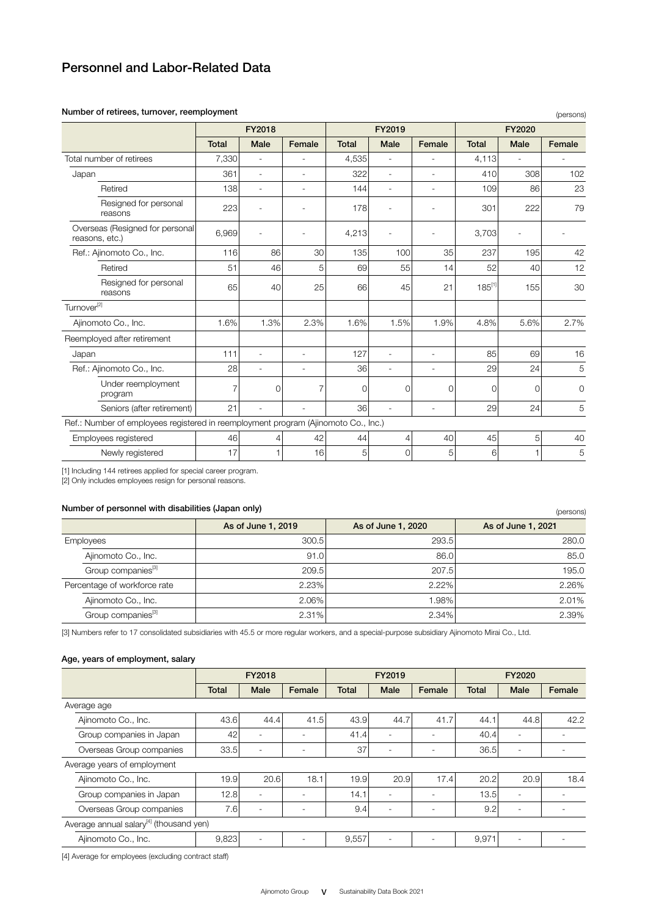| Number of retirees, turnover, reemployment                                         |              |                          |                          |              |                          |                          |              |                | (persons)    |
|------------------------------------------------------------------------------------|--------------|--------------------------|--------------------------|--------------|--------------------------|--------------------------|--------------|----------------|--------------|
|                                                                                    |              | FY2018                   |                          |              | FY2019                   |                          |              | FY2020         |              |
|                                                                                    | <b>Total</b> | Male                     | Female                   | <b>Total</b> | Male                     | Female                   | <b>Total</b> | <b>Male</b>    | Female       |
| Total number of retirees                                                           | 7,330        |                          |                          | 4,535        |                          |                          | 4,113        |                |              |
| Japan                                                                              | 361          | $\overline{\phantom{a}}$ | ٠                        | 322          | ٠                        | ٠                        | 410          | 308            | 102          |
| Retired                                                                            | 138          | $\overline{\phantom{a}}$ | $\overline{\phantom{m}}$ | 144          | $\overline{\phantom{a}}$ | $\overline{\phantom{m}}$ | 109          | 86             | 23           |
| Resigned for personal<br>reasons                                                   | 223          |                          | ÷.                       | 178          |                          |                          | 301          | 222            | 79           |
| Overseas (Resigned for personal<br>reasons, etc.)                                  | 6,969        |                          |                          | 4,213        |                          |                          | 3,703        |                |              |
| Ref.: Ajinomoto Co., Inc.                                                          | 116          | 86                       | 30                       | 135          | 100                      | 35                       | 237          | 195            | 42           |
| Retired                                                                            | 51           | 46                       | 5                        | 69           | 55                       | 14                       | 52           | 40             | 12           |
| Resigned for personal<br>reasons                                                   | 65           | 40                       | 25                       | 66           | 45                       | 21                       | $185^{[1]}$  | 155            | 30           |
| Turnover <sup>[2]</sup>                                                            |              |                          |                          |              |                          |                          |              |                |              |
| Ajinomoto Co., Inc.                                                                | 1.6%         | 1.3%                     | 2.3%                     | 1.6%         | 1.5%                     | 1.9%                     | 4.8%         | 5.6%           | 2.7%         |
| Reemployed after retirement                                                        |              |                          |                          |              |                          |                          |              |                |              |
| Japan                                                                              | 111          | $\overline{\phantom{a}}$ | $\overline{\phantom{a}}$ | 127          | $\overline{\phantom{a}}$ | ٠                        | 85           | 69             | 16           |
| Ref.: Ajinomoto Co., Inc.                                                          | 28           | ÷,                       | $\overline{\phantom{a}}$ | 36           | $\overline{\phantom{a}}$ | $\overline{\phantom{a}}$ | 29           | 24             | 5            |
| Under reemployment<br>program                                                      | 7            | $\Omega$                 | 7                        | 0            | $\Omega$                 | $\Omega$                 | $\Omega$     | $\Omega$       | $\mathbf{0}$ |
| Seniors (after retirement)                                                         | 21           | $\overline{\phantom{a}}$ | ä,                       | 36           | ٠                        |                          | 29           | 24             | 5            |
| Ref.: Number of employees registered in reemployment program (Ajinomoto Co., Inc.) |              |                          |                          |              |                          |                          |              |                |              |
| Employees registered                                                               | 46           | 4                        | 42                       | 44           | 4                        | 40                       | 45           | 5 <sup>1</sup> | 40           |
| Newly registered                                                                   | 17           |                          | 16                       | 5            | $\Omega$                 | 5                        | 6            |                | 5            |

### Number of retirees, turnover, reemployment

[1] Including 144 retirees applied for special career program.

[2] Only includes employees resign for personal reasons.

#### Number of personnel with disabilities (Japan only)

|                                | Number of personnel with disabilities (Japan only)<br>(persons) |                    |                    |  |  |  |  |  |  |  |  |
|--------------------------------|-----------------------------------------------------------------|--------------------|--------------------|--|--|--|--|--|--|--|--|
|                                | As of June 1, 2019                                              | As of June 1, 2020 | As of June 1, 2021 |  |  |  |  |  |  |  |  |
| <b>Employees</b>               | 300.5                                                           | 293.5              | 280.0              |  |  |  |  |  |  |  |  |
| Ajinomoto Co., Inc.            | 91.0                                                            | 86.0               | 85.0               |  |  |  |  |  |  |  |  |
| Group companies <sup>[3]</sup> | 209.5                                                           | 207.5              | 195.0              |  |  |  |  |  |  |  |  |
| Percentage of workforce rate   | 2.23%                                                           | 2.22%              | 2.26%              |  |  |  |  |  |  |  |  |
| Ajinomoto Co., Inc.            | 2.06%                                                           | 1.98%              | 2.01%              |  |  |  |  |  |  |  |  |
| Group companies <sup>[3]</sup> | 2.31%                                                           | $2.34\%$           | 2.39%              |  |  |  |  |  |  |  |  |

[3] Numbers refer to 17 consolidated subsidiaries with 45.5 or more regular workers, and a special-purpose subsidiary Ajinomoto Mirai Co., Ltd.

### Age, years of employment, salary

|                                                     | FY2018 |                          |        |              | FY2019                   |        | FY2020       |      |        |  |
|-----------------------------------------------------|--------|--------------------------|--------|--------------|--------------------------|--------|--------------|------|--------|--|
|                                                     | Total  | Male                     | Female | <b>Total</b> | Male                     | Female | <b>Total</b> | Male | Female |  |
| Average age                                         |        |                          |        |              |                          |        |              |      |        |  |
| Ajinomoto Co., Inc.                                 | 43.6   | 44.4                     | 41.5   | 43.9         | 44.7                     | 41.7   | 44.1         | 44.8 | 42.2   |  |
| Group companies in Japan                            | 42     | $\overline{\phantom{a}}$ | ٠      | 41.4         |                          |        | 40.4         |      |        |  |
| Overseas Group companies                            | 33.5   | $\overline{a}$           | ٠      | 37           | ٠                        |        | 36.5         | ٠    |        |  |
| Average years of employment                         |        |                          |        |              |                          |        |              |      |        |  |
| Ajinomoto Co., Inc.                                 | 19.9   | 20.6                     | 18.1   | 19.9         | 20.9                     | 17.4   | 20.2         | 20.9 | 18.4   |  |
| Group companies in Japan                            | 12.8   | $\overline{\phantom{a}}$ | ۰      | 14.1         |                          |        | 13.5         |      |        |  |
| Overseas Group companies                            | 7.6    | $\overline{\phantom{a}}$ | ٠      | 9.4          | ٠                        |        | 9.2          | ۰    |        |  |
| Average annual salary <sup>[4]</sup> (thousand yen) |        |                          |        |              |                          |        |              |      |        |  |
| Ajinomoto Co., Inc.                                 | 9,823  | $\overline{\phantom{a}}$ | ۰      | 9,557        | $\overline{\phantom{a}}$ |        | 9,971        | ۰    |        |  |

[4] Average for employees (excluding contract staff)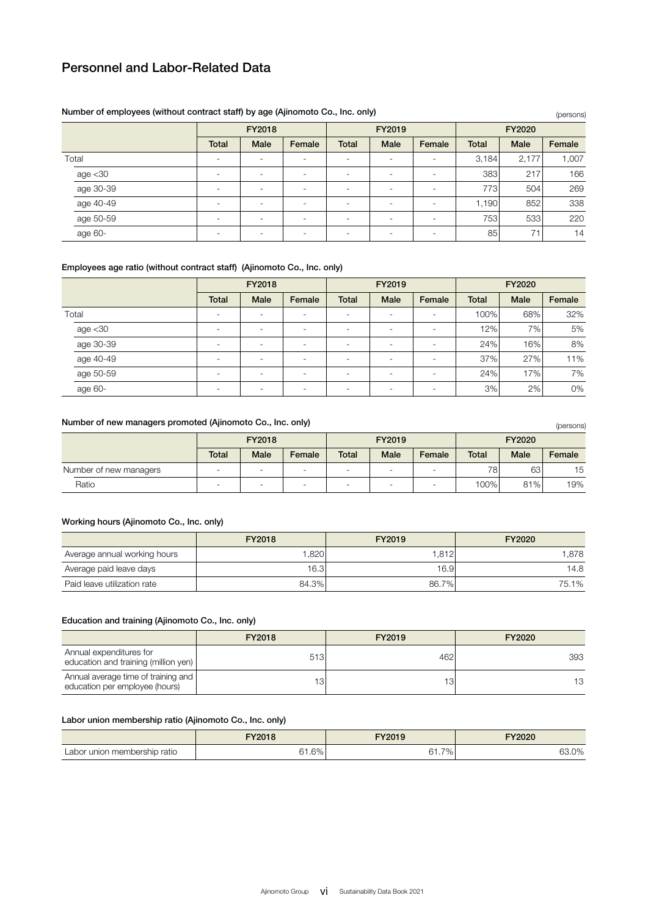| Number of employees (without contract stari) by age (A)momoto Co., mc. only) |              |                          |        |              |                          |                          |              |       | (persons) |  |
|------------------------------------------------------------------------------|--------------|--------------------------|--------|--------------|--------------------------|--------------------------|--------------|-------|-----------|--|
|                                                                              |              | FY2018                   |        |              | FY2019                   |                          | FY2020       |       |           |  |
|                                                                              | <b>Total</b> | <b>Male</b>              | Female | <b>Total</b> | <b>Male</b>              | Female                   | <b>Total</b> | Male  | Female    |  |
| Total                                                                        | ۰            | ٠                        | -      | ۰            | $\overline{\phantom{a}}$ | $\overline{\phantom{a}}$ | 3,184        | 2,177 | 1,007     |  |
| age <30                                                                      | -            | $\overline{\phantom{a}}$ | ۰      |              | $\overline{\phantom{a}}$ |                          | 383          | 217   | 166       |  |
| age 30-39                                                                    | ۰            | ۰                        | ۰      | ۰.           | ۰                        |                          | 773          | 504   | 269       |  |
| age 40-49                                                                    | ٠            | $\overline{\phantom{a}}$ | -      | ۰            |                          | $\overline{\phantom{a}}$ | 1,190        | 852   | 338       |  |
| age 50-59                                                                    | ۰            | ۰                        | -      |              |                          |                          | 753          | 533   | 220       |  |
| age 60-                                                                      |              | $\overline{\phantom{a}}$ | -      |              |                          |                          | 85           | 71    | 14        |  |

### Number of employees (without contract staff) by age (Ajinomoto Co., Inc. only)

## Employees age ratio (without contract staff) (Ajinomoto Co., Inc. only)

|            |                          | FY2018                   |        | FY2019                   |                          |                          | <b>FY2020</b> |      |        |
|------------|--------------------------|--------------------------|--------|--------------------------|--------------------------|--------------------------|---------------|------|--------|
|            | <b>Total</b>             | Male                     | Female | <b>Total</b>             | Male                     | Female                   | <b>Total</b>  | Male | Female |
| Total      | ۰                        | ۰                        | ۰      | $\overline{\phantom{a}}$ | $\overline{\phantom{a}}$ | $\overline{\phantom{a}}$ | 100%          | 68%  | 32%    |
| age $<$ 30 | ۰                        | $\overline{\phantom{a}}$ | ٠      |                          | $\overline{\phantom{a}}$ | $\overline{\phantom{a}}$ | 12%           | 7%1  | 5%     |
| age 30-39  | ۰                        | ۰                        | ۰      | $\overline{\phantom{a}}$ | ۰                        | $\overline{\phantom{a}}$ | 24%           | 16%  | 8%     |
| age 40-49  | ۰                        | $\overline{\phantom{a}}$ | ۰      | $\overline{\phantom{a}}$ | ۰                        | $\overline{\phantom{a}}$ | 37%           | 27%  | 11%    |
| age 50-59  | ۰                        | ۰                        | ۰      |                          |                          |                          | 24%           | 17%  | 7%     |
| age 60-    | $\overline{\phantom{a}}$ | ۰                        | ۰      | $\overline{\phantom{a}}$ |                          | ۰                        | 3%            | 2%   | 0%     |

### Number of new managers promoted (Ajinomoto Co., Inc. only)

| Number of new managers promoted (Ajinomoto Co., Inc. only) |        |      |        |                          |                          |        |              |      | (persons) |
|------------------------------------------------------------|--------|------|--------|--------------------------|--------------------------|--------|--------------|------|-----------|
|                                                            | FY2018 |      |        | FY2019                   |                          |        | FY2020       |      |           |
|                                                            | Total  | Male | Female | Total                    | Male                     | Female | <b>Total</b> | Male | Female    |
| Number of new managers                                     | -      |      | -      | $\overline{\phantom{a}}$ | $\overline{\phantom{a}}$ | -      | 78           | 63   | 15        |
| Ratio                                                      |        | ۰    | -      | ۰.                       |                          |        | 100%         | 81%  | 19%       |

### Working hours (Ajinomoto Co., Inc. only)

|                              | FY2018 | FY2019 | FY2020 |
|------------------------------|--------|--------|--------|
| Average annual working hours | .820   | 1.812  | 1.878  |
| Average paid leave days      | 16.3   | 16.9   | 14.8   |
| Paid leave utilization rate  | 84.3%  | 86.7%  | 75.1%  |

### Education and training (Ajinomoto Co., Inc. only)

|                                                                       | FY2018 | FY2019 | FY2020 |
|-----------------------------------------------------------------------|--------|--------|--------|
| Annual expenditures for<br>education and training (million yen)       | 513    | 462    | 393    |
| Annual average time of training and<br>education per employee (hours) | 13.    | ١З     | 13     |

### Labor union membership ratio (Ajinomoto Co., Inc. only)

|                              | FY2018 | FY2019 | FY2020 |
|------------------------------|--------|--------|--------|
| Labor union membership ratio | 61.6%  | 61.7%  | 63.0%  |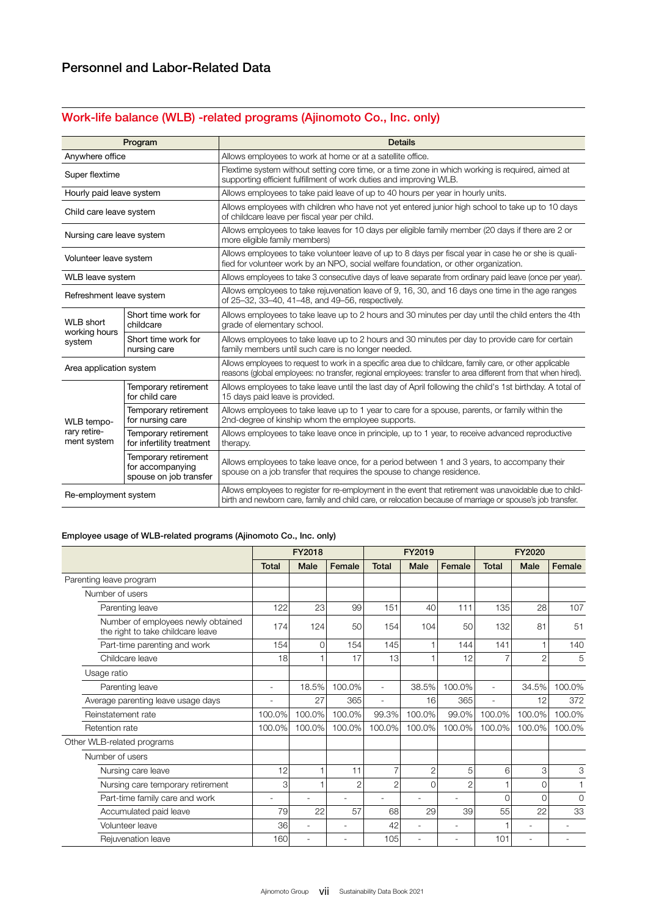# Work-life balance (WLB) -related programs (Ajinomoto Co., Inc. only)

|                                                                                                                        | Program                                                            | <b>Details</b>                                                                                                                                                                                                             |  |  |  |  |  |
|------------------------------------------------------------------------------------------------------------------------|--------------------------------------------------------------------|----------------------------------------------------------------------------------------------------------------------------------------------------------------------------------------------------------------------------|--|--|--|--|--|
| Anywhere office                                                                                                        |                                                                    | Allows employees to work at home or at a satellite office.                                                                                                                                                                 |  |  |  |  |  |
| Super flextime                                                                                                         |                                                                    | Flextime system without setting core time, or a time zone in which working is required, aimed at<br>supporting efficient fulfillment of work duties and improving WLB.                                                     |  |  |  |  |  |
| Hourly paid leave system                                                                                               |                                                                    | Allows employees to take paid leave of up to 40 hours per year in hourly units.                                                                                                                                            |  |  |  |  |  |
| Child care leave system                                                                                                |                                                                    | Allows employees with children who have not yet entered junior high school to take up to 10 days<br>of childcare leave per fiscal year per child.                                                                          |  |  |  |  |  |
| Nursing care leave system                                                                                              |                                                                    | Allows employees to take leaves for 10 days per eligible family member (20 days if there are 2 or<br>more eligible family members)                                                                                         |  |  |  |  |  |
| Volunteer leave system                                                                                                 |                                                                    | Allows employees to take volunteer leave of up to 8 days per fiscal year in case he or she is quali-<br>fied for volunteer work by an NPO, social welfare foundation, or other organization.                               |  |  |  |  |  |
| WLB leave system                                                                                                       |                                                                    | Allows employees to take 3 consecutive days of leave separate from ordinary paid leave (once per year).                                                                                                                    |  |  |  |  |  |
| Refreshment leave system                                                                                               |                                                                    | Allows employees to take rejuvenation leave of 9, 16, 30, and 16 days one time in the age ranges<br>of 25-32, 33-40, 41-48, and 49-56, respectively.                                                                       |  |  |  |  |  |
| Short time work for<br><b>WLB</b> short<br>childcare<br>working hours<br>Short time work for<br>system<br>nursing care |                                                                    | Allows employees to take leave up to 2 hours and 30 minutes per day until the child enters the 4th<br>grade of elementary school.                                                                                          |  |  |  |  |  |
|                                                                                                                        |                                                                    | Allows employees to take leave up to 2 hours and 30 minutes per day to provide care for certain<br>family members until such care is no longer needed.                                                                     |  |  |  |  |  |
| Area application system                                                                                                |                                                                    | Allows employees to request to work in a specific area due to childcare, family care, or other applicable<br>reasons (global employees: no transfer, regional employees: transfer to area different from that when hired). |  |  |  |  |  |
|                                                                                                                        | Temporary retirement<br>for child care                             | Allows employees to take leave until the last day of April following the child's 1st birthday. A total of<br>15 days paid leave is provided.                                                                               |  |  |  |  |  |
| WLB tempo-                                                                                                             | Temporary retirement<br>for nursing care                           | Allows employees to take leave up to 1 year to care for a spouse, parents, or family within the<br>2nd-degree of kinship whom the employee supports.                                                                       |  |  |  |  |  |
| rary retire-<br>ment system                                                                                            | Temporary retirement<br>for infertility treatment                  | Allows employees to take leave once in principle, up to 1 year, to receive advanced reproductive<br>therapy.                                                                                                               |  |  |  |  |  |
|                                                                                                                        | Temporary retirement<br>for accompanying<br>spouse on job transfer | Allows employees to take leave once, for a period between 1 and 3 years, to accompany their<br>spouse on a job transfer that requires the spouse to change residence.                                                      |  |  |  |  |  |
| Re-employment system                                                                                                   |                                                                    | Allows employees to register for re-employment in the event that retirement was unavoidable due to child-<br>birth and newborn care, family and child care, or relocation because of marriage or spouse's job transfer.    |  |  |  |  |  |

## Employee usage of WLB-related programs (Ajinomoto Co., Inc. only)

|                                                                         | FY2018       |                          | FY2019 |                |                | FY2020         |                          |                |          |
|-------------------------------------------------------------------------|--------------|--------------------------|--------|----------------|----------------|----------------|--------------------------|----------------|----------|
|                                                                         | <b>Total</b> | Male                     | Female | <b>Total</b>   | <b>Male</b>    | Female         | <b>Total</b>             | Male           | Female   |
| Parenting leave program                                                 |              |                          |        |                |                |                |                          |                |          |
| Number of users                                                         |              |                          |        |                |                |                |                          |                |          |
| Parenting leave                                                         | 122          | 23                       | 99     | 151            | 40             | 111            | 135                      | 28             | 107      |
| Number of employees newly obtained<br>the right to take childcare leave | 174          | 124                      | 50     | 154            | 104            | 50             | 132                      | 81             | 51       |
| Part-time parenting and work                                            | 154          | $\Omega$                 | 154    | 145            |                | 144            | 141                      |                | 140      |
| Childcare leave                                                         | 18           |                          | 17     | 13             |                | 12             |                          | $\overline{c}$ | 5        |
| Usage ratio                                                             |              |                          |        |                |                |                |                          |                |          |
| Parenting leave                                                         | ٠            | 18.5%                    | 100.0% | ٠              | 38.5%          | 100.0%         | ٠                        | 34.5%          | 100.0%   |
| Average parenting leave usage days                                      |              | 27                       | 365    | ٠              | 16             | 365            | $\overline{\phantom{a}}$ | 12             | 372      |
| Reinstatement rate                                                      | 100.0%       | 100.0%                   | 100.0% | 99.3%          | 100.0%         | 99.0%          | 100.0%                   | 100.0%         | 100.0%   |
| Retention rate                                                          | 100.0%       | 100.0%                   | 100.0% | 100.0%         | 100.0%         | 100.0%         | 100.0%                   | 100.0%         | 100.0%   |
| Other WLB-related programs                                              |              |                          |        |                |                |                |                          |                |          |
| Number of users                                                         |              |                          |        |                |                |                |                          |                |          |
| Nursing care leave                                                      | 12           |                          | 11     |                | $\overline{c}$ | 5              | 6                        | 3              | 3        |
| Nursing care temporary retirement                                       | 3            |                          | 2      | $\overline{c}$ | $\Omega$       | $\overline{2}$ |                          | $\Omega$       | 1        |
| Part-time family care and work                                          |              | $\overline{\phantom{a}}$ | ٠      | ٠              | ٠              | ٠              | $\Omega$                 | $\Omega$       | $\Omega$ |
| Accumulated paid leave                                                  | 79           | 22                       | 57     | 68             | 29             | 39             | 55                       | 22             | 33       |
| Volunteer leave                                                         | 36           | $\overline{\phantom{a}}$ | ٠      | 42             | ٠              | ٠              |                          | ٠              |          |
| Rejuvenation leave                                                      | 160          | ٠                        | ٠      | 105            |                |                | 101                      |                |          |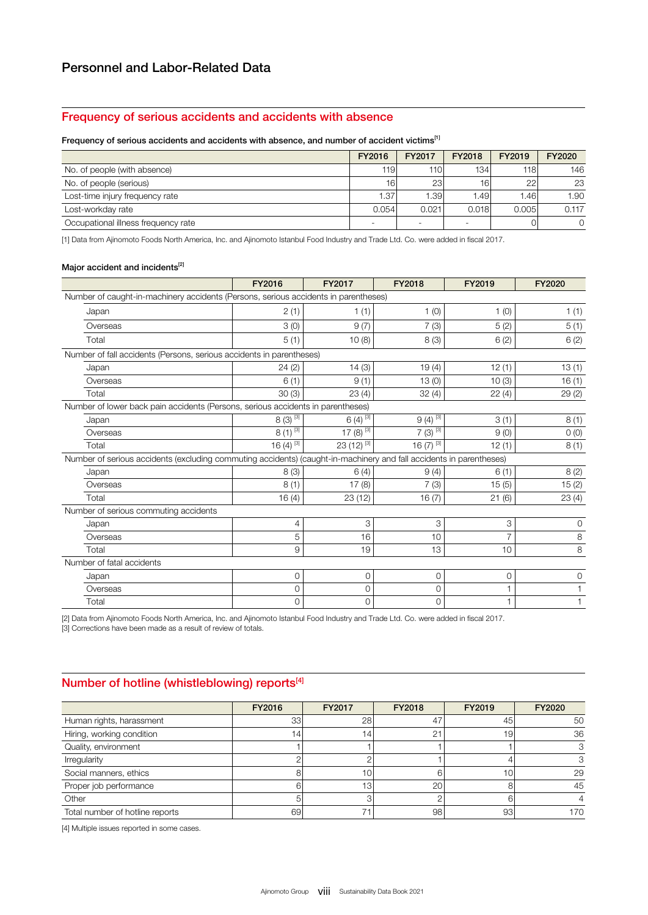## Frequency of serious accidents and accidents with absence

#### Frequency of serious accidents and accidents with absence, and number of accident victims<sup>[1]</sup>

|                                     | FY2016                   | FY2017           | FY2018 | FY2019 | FY2020   |
|-------------------------------------|--------------------------|------------------|--------|--------|----------|
| No. of people (with absence)        | 119                      | 110 <sup>1</sup> | 134    | 118    | 146      |
| No. of people (serious)             | 16                       | 23               | 16     | 22     | 23       |
| Lost-time injury frequency rate     | 1.37                     | .391             | 1.49   | 1.46   | 1.90     |
| Lost-workday rate                   | 0.054                    | 0.021            | 0.018  | 0.005  | 0.117    |
| Occupational illness frequency rate | $\overline{\phantom{0}}$ | -                |        |        | $\Omega$ |

[1] Data from Ajinomoto Foods North America, Inc. and Ajinomoto Istanbul Food Industry and Trade Ltd. Co. were added in fiscal 2017.

## Major accident and incidents $^{[2]}$

|                                                                                                                     | FY2016                  | FY2017                  | FY2018       | FY2019         | FY2020       |
|---------------------------------------------------------------------------------------------------------------------|-------------------------|-------------------------|--------------|----------------|--------------|
| Number of caught-in-machinery accidents (Persons, serious accidents in parentheses)                                 |                         |                         |              |                |              |
| Japan                                                                                                               | 2(1)                    | 1(1)                    | 1(0)         | 1(0)           | 1(1)         |
| Overseas                                                                                                            | 3(0)                    | 9(7)                    | 7(3)         | 5(2)           | 5(1)         |
| Total                                                                                                               | 5(1)                    | 10(8)                   | 8(3)         | 6(2)           | 6(2)         |
| Number of fall accidents (Persons, serious accidents in parentheses)                                                |                         |                         |              |                |              |
| Japan                                                                                                               | 24(2)                   | 14(3)                   | 19(4)        | 12(1)          | 13(1)        |
| Overseas                                                                                                            | 6(1)                    | 9(1)                    | 13(0)        | 10(3)          | 16(1)        |
| Total                                                                                                               | 30(3)                   | 23(4)                   | 32(4)        | 22(4)          | 29(2)        |
| Number of lower back pain accidents (Persons, serious accidents in parentheses)                                     |                         |                         |              |                |              |
| Japan                                                                                                               | $8(3)^{3}$              | $6(4)$ <sup>[3]</sup>   | $9(4)^{3}$   | 3(1)           | 8(1)         |
| Overseas                                                                                                            | $8(1)^{3}$              | 17 $(8)^{\overline{3}}$ | $7(3)^{3}$   | 9(0)           | O(0)         |
| Total                                                                                                               | 16 $(4)^{\overline{3}}$ | $23(12)^{3}$            | 16 $(7)^{3}$ | 12(1)          | 8(1)         |
| Number of serious accidents (excluding commuting accidents) (caught-in-machinery and fall accidents in parentheses) |                         |                         |              |                |              |
| Japan                                                                                                               | 8(3)                    | 6(4)                    | 9(4)         | 6(1)           | 8(2)         |
| Overseas                                                                                                            | 8(1)                    | 17(8)                   | 7(3)         | 15(5)          | 15(2)        |
| Total                                                                                                               | 16(4)                   | 23(12)                  | 16(7)        | 21(6)          | 23(4)        |
| Number of serious commuting accidents                                                                               |                         |                         |              |                |              |
| Japan                                                                                                               | 4                       | 3                       | 3            | 3              | 0            |
| Overseas                                                                                                            | 5                       | 16                      | 10           | $\overline{7}$ | 8            |
| Total                                                                                                               | 9                       | 19                      | 13           | 10             | $\,8\,$      |
| Number of fatal accidents                                                                                           |                         |                         |              |                |              |
| Japan                                                                                                               | 0                       | 0                       | 0            | 0              | 0            |
| Overseas                                                                                                            | 0                       | 0                       | $\Omega$     |                |              |
| Total                                                                                                               | 0                       | 0                       | 0            | 1              | $\mathbf{1}$ |

[2] Data from Ajinomoto Foods North America, Inc. and Ajinomoto Istanbul Food Industry and Trade Ltd. Co. were added in fiscal 2017.

[3] Corrections have been made as a result of review of totals.

## Number of hotline (whistleblowing) reports<sup>[4]</sup>

|                                 | FY2016 | FY2017          | FY2018 | FY2019 | FY2020 |
|---------------------------------|--------|-----------------|--------|--------|--------|
| Human rights, harassment        | 33     | 28              | 47     | 45     | 50     |
| Hiring, working condition       | 4      | 14              | 21     | 19     | 36     |
| Quality, environment            |        |                 |        |        |        |
| Irregularity                    |        |                 |        |        |        |
| Social manners, ethics          |        |                 |        | 10     | 29     |
| Proper job performance          |        | 13 <sub>1</sub> | 20     |        | 45     |
| Other                           |        |                 |        |        |        |
| Total number of hotline reports | 69     |                 | 98     | 93     | 170    |

[4] Multiple issues reported in some cases.